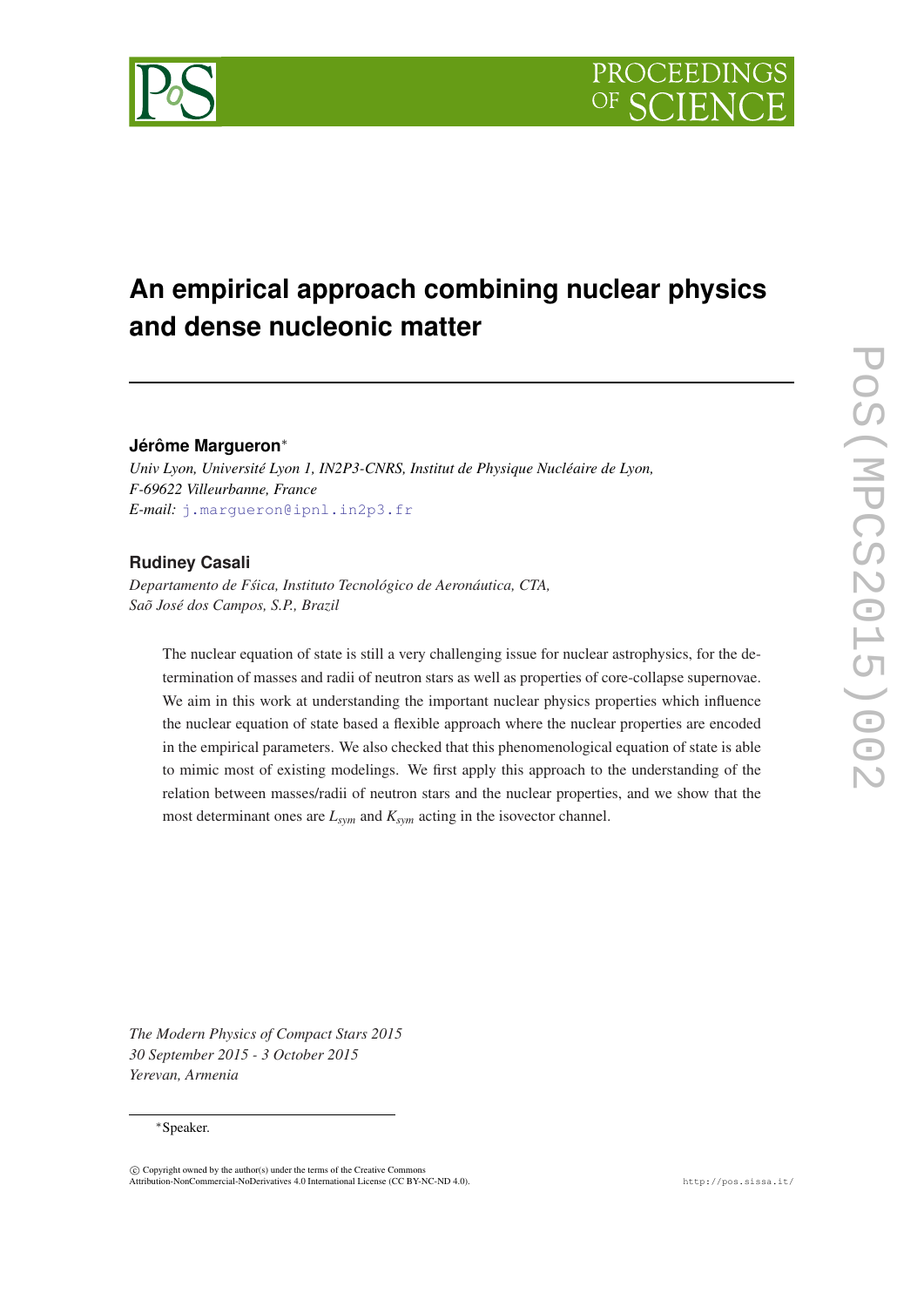# **An empirical approach combining nuclear physics and dense nucleonic matter**

## **Jérôme Margueron**<sup>∗</sup>

*Univ Lyon, Université Lyon 1, IN2P3-CNRS, Institut de Physique Nucléaire de Lyon, F-69622 Villeurbanne, France E-mail:* [j.margueron@ipnl.in2p3.fr](mailto:j.margueron@ipnl.in2p3.fr)

# **Rudiney Casali**

*Departamento de Fsica, Instituto Tecnológico de Aeronáutica, CTA, ´ Saõ José dos Campos, S.P., Brazil*

The nuclear equation of state is still a very challenging issue for nuclear astrophysics, for the determination of masses and radii of neutron stars as well as properties of core-collapse supernovae. We aim in this work at understanding the important nuclear physics properties which influence the nuclear equation of state based a flexible approach where the nuclear properties are encoded in the empirical parameters. We also checked that this phenomenological equation of state is able to mimic most of existing modelings. We first apply this approach to the understanding of the relation between masses/radii of neutron stars and the nuclear properties, and we show that the most determinant ones are *Lsym* and *Ksym* acting in the isovector channel.

*The Modern Physics of Compact Stars 2015 30 September 2015 - 3 October 2015 Yerevan, Armenia*

#### <sup>∗</sup>Speaker.

 $\overline{c}$  Copyright owned by the author(s) under the terms of the Creative Common Attribution-NonCommercial-NoDerivatives 4.0 International License (CC BY-NC-ND 4.0). http://pos.sissa.it/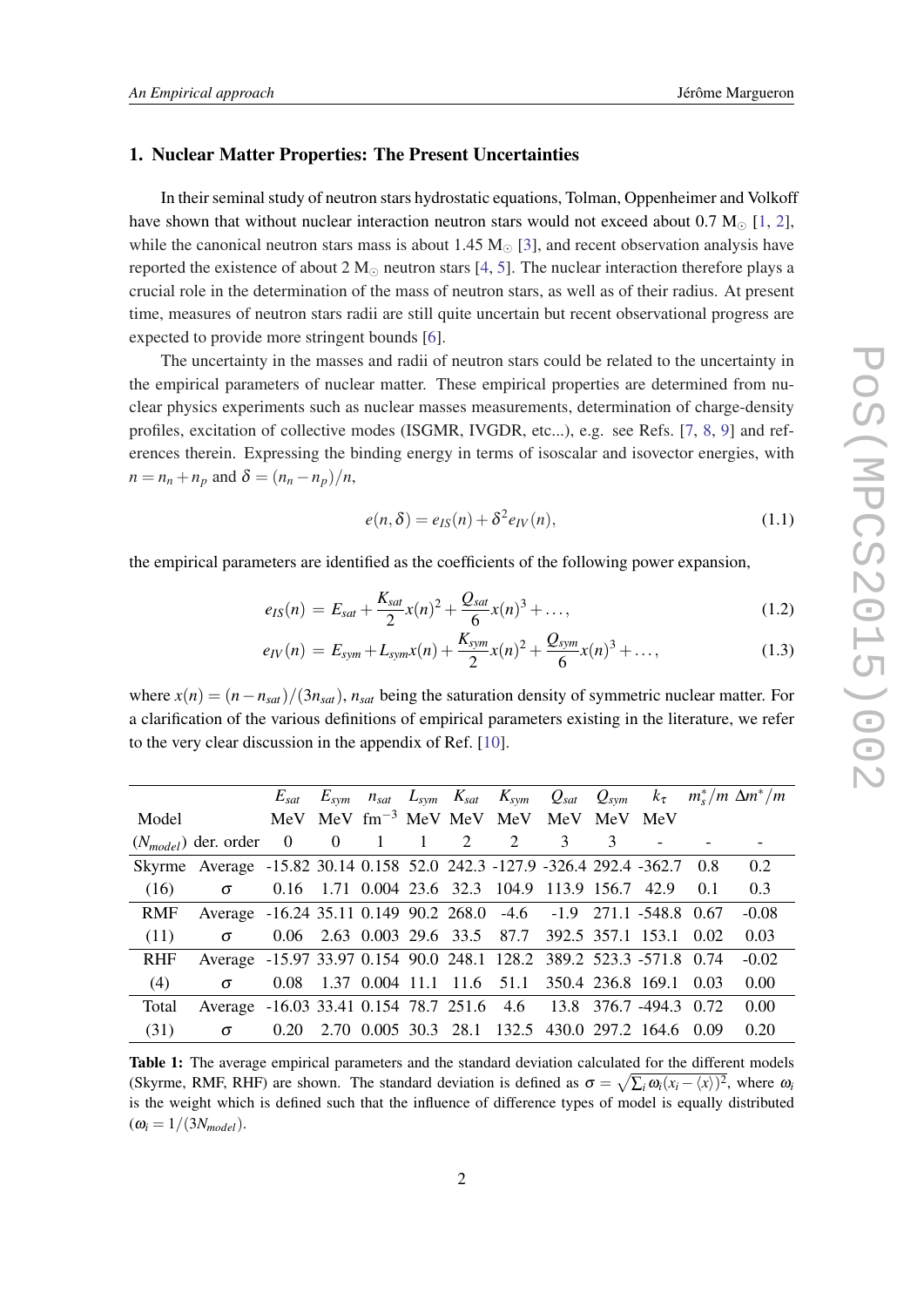#### <span id="page-1-0"></span>1. Nuclear Matter Properties: The Present Uncertainties

In their seminal study of neutron stars hydrostatic equations, Tolman, Oppenheimer and Volkoff have shown that without nuclear interaction neutron stars would not exceed about 0.7  $M_{\odot}$  [[1](#page-6-0), [2\]](#page-6-0), while the canonical neutron stars mass is about 1.45  $M_{\odot}$  [\[3\]](#page-6-0), and recent observation analysis have reported the existence of about 2  $M_{\odot}$  neutron stars [[4](#page-6-0), [5\]](#page-6-0). The nuclear interaction therefore plays a crucial role in the determination of the mass of neutron stars, as well as of their radius. At present time, measures of neutron stars radii are still quite uncertain but recent observational progress are expected to provide more stringent bounds [[6](#page-6-0)].

The uncertainty in the masses and radii of neutron stars could be related to the uncertainty in the empirical parameters of nuclear matter. These empirical properties are determined from nuclear physics experiments such as nuclear masses measurements, determination of charge-density profiles, excitation of collective modes (ISGMR, IVGDR, etc...), e.g. see Refs. [[7](#page-7-0), [8,](#page-7-0) [9](#page-7-0)] and references therein. Expressing the binding energy in terms of isoscalar and isovector energies, with  $n = n_n + n_p$  and  $\delta = (n_n - n_p)/n$ ,

$$
e(n,\delta) = e_{IS}(n) + \delta^2 e_{IV}(n),
$$
\n(1.1)

the empirical parameters are identified as the coefficients of the following power expansion,

$$
e_{IS}(n) = E_{sat} + \frac{K_{sat}}{2}x(n)^{2} + \frac{Q_{sat}}{6}x(n)^{3} + ..., \qquad (1.2)
$$

$$
e_{IV}(n) = E_{sym} + L_{sym}x(n) + \frac{K_{sym}}{2}x(n)^{2} + \frac{Q_{sym}}{6}x(n)^{3} + ..., \qquad (1.3)
$$

where  $x(n) = (n - n_{sat})/(3n_{sat})$ ,  $n_{sat}$  being the saturation density of symmetric nuclear matter. For a clarification of the various definitions of empirical parameters existing in the literature, we refer to the very clear discussion in the appendix of Ref. [\[10](#page-7-0)].

|            |                                                                             |  |  |                                                        |  |  | $E_{sat}$ $E_{sym}$ $n_{sat}$ $L_{sym}$ $K_{sat}$ $K_{sym}$ $Q_{sat}$ $Q_{sym}$ $k_{\tau}$ $m_{s}^{*}/m \Delta m^{*}/m$ |
|------------|-----------------------------------------------------------------------------|--|--|--------------------------------------------------------|--|--|-------------------------------------------------------------------------------------------------------------------------|
| Model      |                                                                             |  |  | MeV MeV fm <sup>-3</sup> MeV MeV MeV MeV MeV MeV       |  |  |                                                                                                                         |
|            | $(N_{model})$ der. order 0 0 1 1 2 2 3 3                                    |  |  |                                                        |  |  |                                                                                                                         |
|            | Skyrme Average -15.82 30.14 0.158 52.0 242.3 -127.9 -326.4 292.4 -362.7 0.8 |  |  |                                                        |  |  | 0.2                                                                                                                     |
| (16)       | $\sigma$                                                                    |  |  | 0.16 1.71 0.004 23.6 32.3 104.9 113.9 156.7 42.9 0.1   |  |  | 0.3                                                                                                                     |
| RMF        | Average -16.24 35.11 0.149 90.2 268.0 -4.6 -1.9 271.1 -548.8 0.67           |  |  |                                                        |  |  | $-0.08$                                                                                                                 |
| (11)       | $\sigma$                                                                    |  |  | 0.06 2.63 0.003 29.6 33.5 87.7 392.5 357.1 153.1 0.02  |  |  | 0.03                                                                                                                    |
| <b>RHF</b> | Average -15.97 33.97 0.154 90.0 248.1 128.2 389.2 523.3 -571.8 0.74         |  |  |                                                        |  |  | $-0.02$                                                                                                                 |
| (4)        | $\sigma$                                                                    |  |  | 0.08 1.37 0.004 11.1 11.6 51.1 350.4 236.8 169.1 0.03  |  |  | 0.00                                                                                                                    |
| Total      | Average -16.03 33.41 0.154 78.7 251.6 4.6 13.8 376.7 -494.3 0.72            |  |  |                                                        |  |  | 0.00                                                                                                                    |
| (31)       | $\sigma$                                                                    |  |  | 0.20 2.70 0.005 30.3 28.1 132.5 430.0 297.2 164.6 0.09 |  |  | 0.20                                                                                                                    |

Table 1: The average empirical parameters and the standard deviation calculated for the different models (Skyrme, RMF, RHF) are shown. The standard deviation is defined as  $\sigma = \sqrt{\sum_i \omega_i (x_i - \langle x \rangle)^2}$ , where  $\omega_i$ is the weight which is defined such that the influence of difference types of model is equally distributed  $(\omega_i = 1/(3N_{model}).$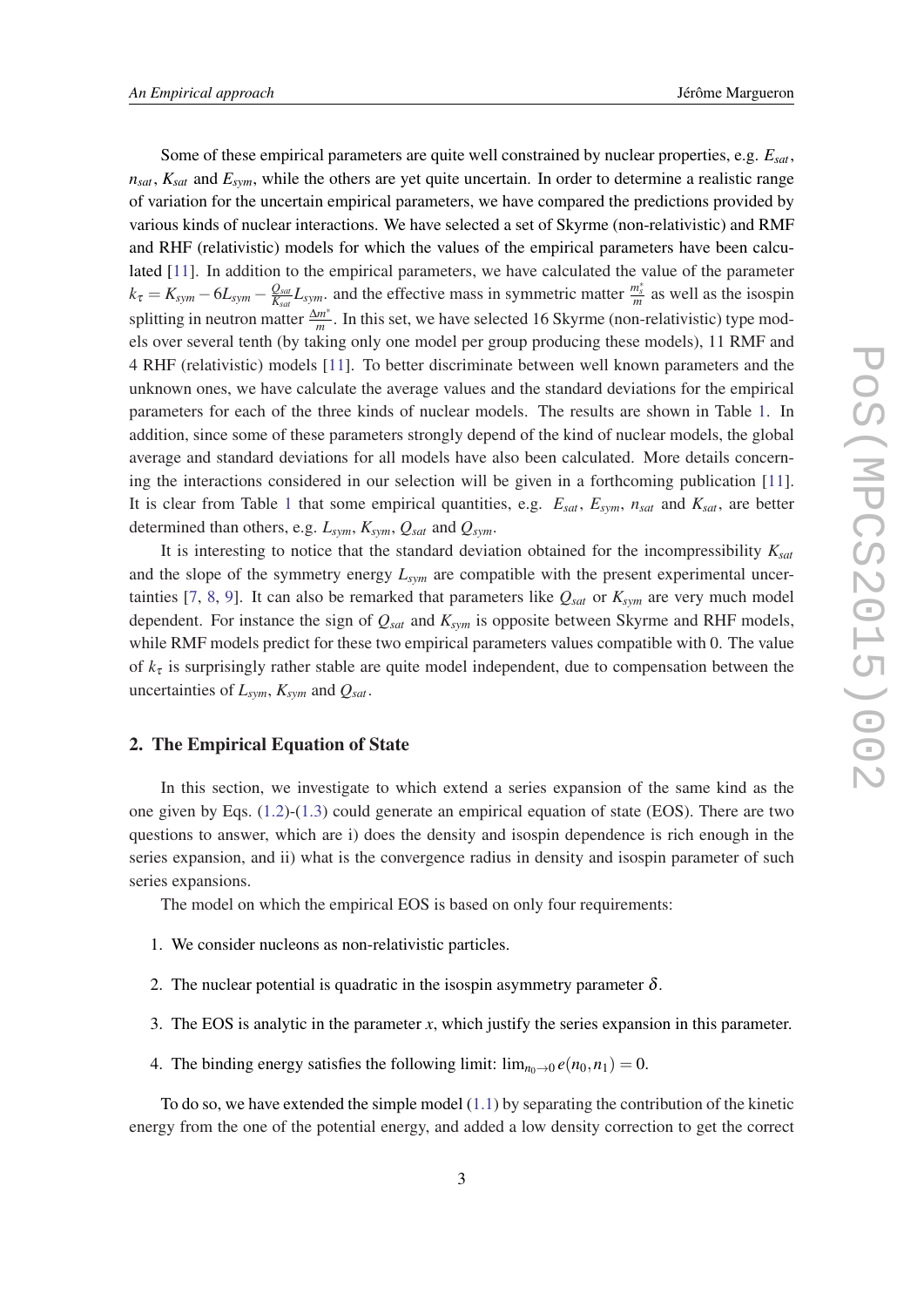Some of these empirical parameters are quite well constrained by nuclear properties, e.g. *Esat*,  $n_{sat}$ ,  $K_{sat}$  and  $E_{sym}$ , while the others are yet quite uncertain. In order to determine a realistic range of variation for the uncertain empirical parameters, we have compared the predictions provided by various kinds of nuclear interactions. We have selected a set of Skyrme (non-relativistic) and RMF and RHF (relativistic) models for which the values of the empirical parameters have been calculated [\[11](#page-7-0)]. In addition to the empirical parameters, we have calculated the value of the parameter  $k_\tau = K_{sym} - 6L_{sym} - \frac{Q_{sat}}{K_{sat}}$  $\frac{Q_{sat}}{K_{sat}}L_{sym}$  and the effective mass in symmetric matter  $\frac{m_s^*}{m}$  as well as the isospin splitting in neutron matter <sup>∆</sup>*<sup>m</sup>* ∗  $\frac{m}{m}$ . In this set, we have selected 16 Skyrme (non-relativistic) type models over several tenth (by taking only one model per group producing these models), 11 RMF and 4 RHF (relativistic) models [\[11](#page-7-0)]. To better discriminate between well known parameters and the unknown ones, we have calculate the average values and the standard deviations for the empirical parameters for each of the three kinds of nuclear models. The results are shown in Table [1.](#page-1-0) In addition, since some of these parameters strongly depend of the kind of nuclear models, the global average and standard deviations for all models have also been calculated. More details concerning the interactions considered in our selection will be given in a forthcoming publication [[11\]](#page-7-0). It is clear from Table [1](#page-1-0) that some empirical quantities, e.g. *Esat*, *Esym*, *nsat* and *Ksat*, are better determined than others, e.g. *Lsym*, *Ksym*, *Qsat* and *Qsym*.

It is interesting to notice that the standard deviation obtained for the incompressibility *Ksat* and the slope of the symmetry energy *Lsym* are compatible with the present experimental uncer-tainties [[7](#page-7-0), [8,](#page-7-0) [9](#page-7-0)]. It can also be remarked that parameters like  $Q_{sat}$  or  $K_{sym}$  are very much model dependent. For instance the sign of *Qsat* and *Ksym* is opposite between Skyrme and RHF models, while RMF models predict for these two empirical parameters values compatible with 0. The value of  $k_{\tau}$  is surprisingly rather stable are quite model independent, due to compensation between the uncertainties of  $L_{sym}$ ,  $K_{sym}$  and  $Q_{sat}$ .

#### 2. The Empirical Equation of State

In this section, we investigate to which extend a series expansion of the same kind as the one given by Eqs. ([1.2](#page-1-0))-[\(1.3\)](#page-1-0) could generate an empirical equation of state (EOS). There are two questions to answer, which are i) does the density and isospin dependence is rich enough in the series expansion, and ii) what is the convergence radius in density and isospin parameter of such series expansions.

The model on which the empirical EOS is based on only four requirements:

- 1. We consider nucleons as non-relativistic particles.
- 2. The nuclear potential is quadratic in the isospin asymmetry parameter  $\delta$ .
- 3. The EOS is analytic in the parameter *x*, which justify the series expansion in this parameter.
- 4. The binding energy satisfies the following limit:  $\lim_{n_0 \to 0} e(n_0, n_1) = 0$ .

To do so, we have extended the simple model  $(1.1)$  $(1.1)$  by separating the contribution of the kinetic energy from the one of the potential energy, and added a low density correction to get the correct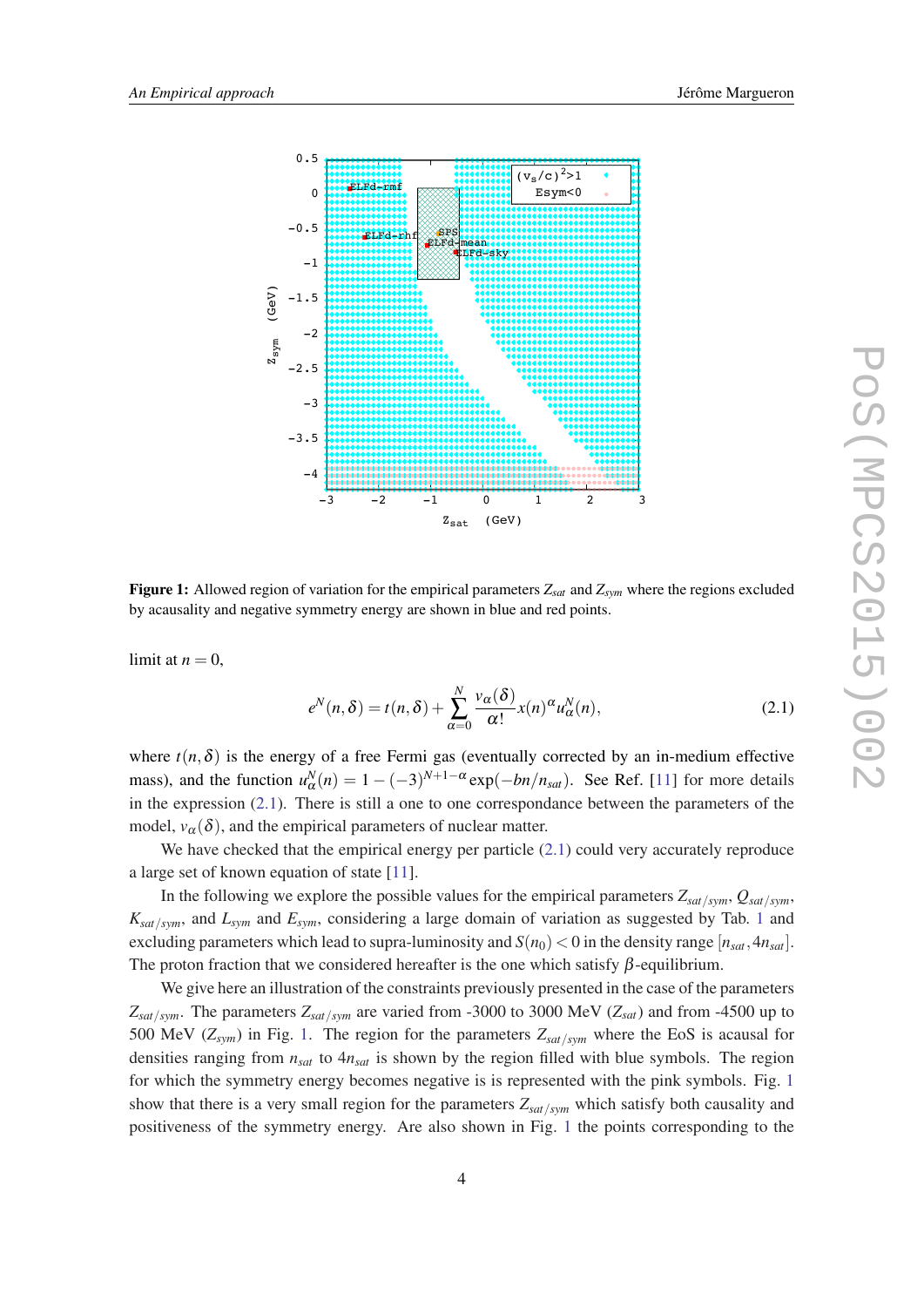

Figure 1: Allowed region of variation for the empirical parameters  $Z_{sat}$  and  $Z_{sym}$  where the regions excluded by acausality and negative symmetry energy are shown in blue and red points.

limit at  $n = 0$ ,

$$
e^N(n,\delta) = t(n,\delta) + \sum_{\alpha=0}^N \frac{v_\alpha(\delta)}{\alpha!} x(n)^\alpha u_\alpha^N(n),
$$
\n(2.1)

where  $t(n, \delta)$  is the energy of a free Fermi gas (eventually corrected by an in-medium effective mass), and the function  $u_{\alpha}^{N}(n) = 1 - (-3)^{N+1-\alpha} \exp(-bn/n_{sat})$ . See Ref. [11] for more details in the expression  $(2.1)$ . There is still a one to one correspondance between the parameters of the model,  $v_{\alpha}(\delta)$ , and the empirical parameters of nuclear matter.

We have checked that the empirical energy per particle  $(2.1)$  could very accurately reproduce a large set of known equation of state [11].

In the following we explore the possible values for the empirical parameters  $Z_{sat/sym}$ ,  $Q_{sat/sym}$ ,  $K_{sat/sym}$ , and  $L_{sym}$  and  $E_{sym}$ , considering a large domain of variation as suggested by Tab. 1 and excluding parameters which lead to supra-luminosity and  $S(n_0) < 0$  in the density range  $[n_{sat}, 4n_{sat}]$ . The proton fraction that we considered hereafter is the one which satisfy  $\beta$ -equilibrium.

We give here an illustration of the constraints previously presented in the case of the parameters  $Z_{sat/sym}$ . The parameters  $Z_{sat/sym}$  are varied from -3000 to 3000 MeV ( $Z_{sat}$ ) and from -4500 up to 500 MeV ( $Z_{sym}$ ) in Fig. 1. The region for the parameters  $Z_{sat/sym}$  where the EoS is acausal for densities ranging from  $n_{sat}$  to  $4n_{sat}$  is shown by the region filled with blue symbols. The region for which the symmetry energy becomes negative is is represented with the pink symbols. Fig. 1 show that there is a very small region for the parameters  $Z_{sat/sym}$  which satisfy both causality and positiveness of the symmetry energy. Are also shown in Fig. 1 the points corresponding to the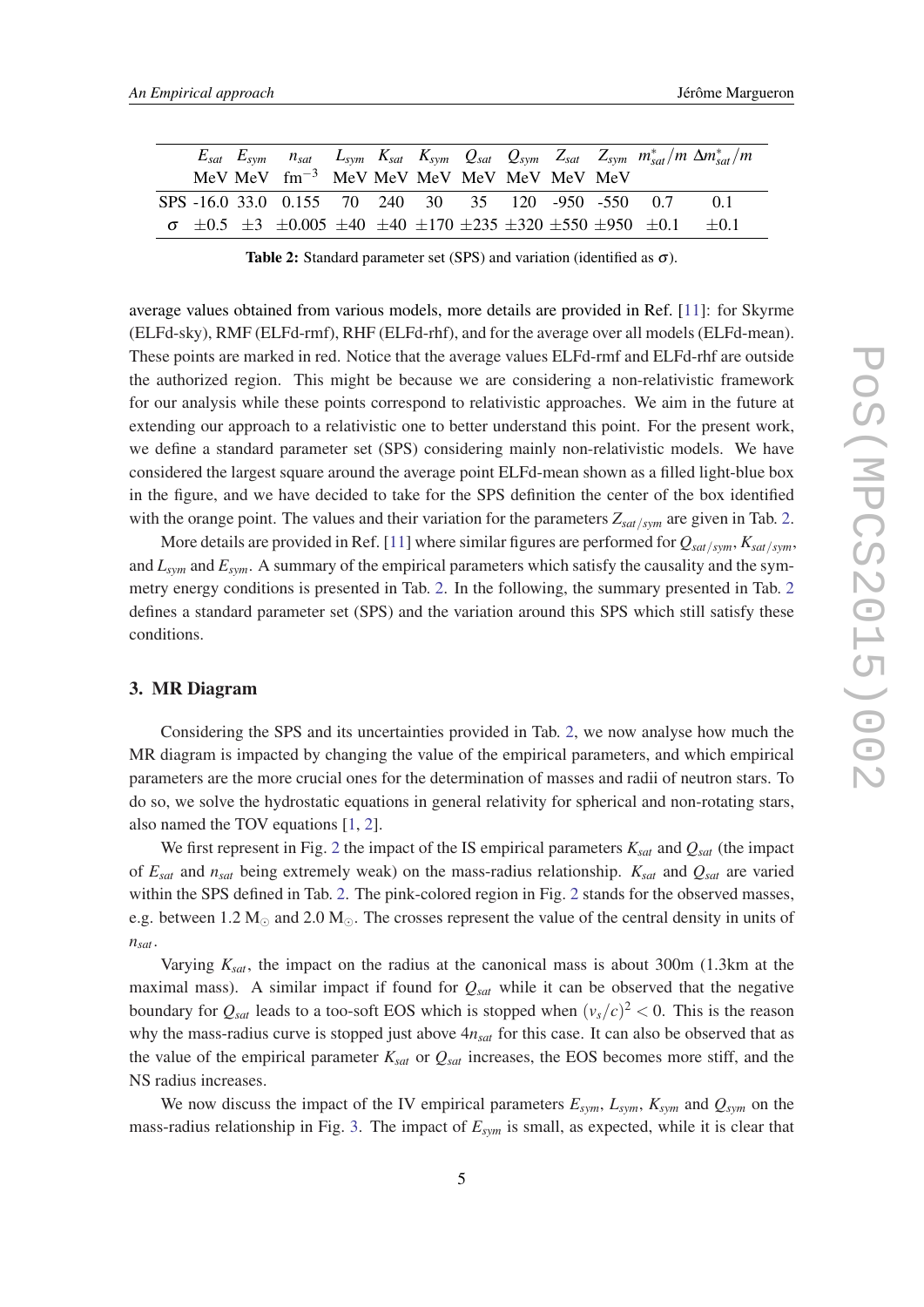|  |                                                                                                                      |  |  |  |  | $E_{sat}$ $E_{sym}$ $n_{sat}$ $L_{sym}$ $K_{sat}$ $K_{sym}$ $Q_{sat}$ $Q_{sym}$ $Z_{sat}$ $Z_{sym}$ $m_{sat}^{*}/m \Delta m_{sat}^{*}/m$ |
|--|----------------------------------------------------------------------------------------------------------------------|--|--|--|--|------------------------------------------------------------------------------------------------------------------------------------------|
|  | $MeV$ MeV $fm^{-3}$ MeV MeV MeV MeV MeV MeV MeV                                                                      |  |  |  |  |                                                                                                                                          |
|  | SPS -16.0 33.0 0.155 70 240 30 35 120 -950 -550 0.7                                                                  |  |  |  |  | -01                                                                                                                                      |
|  | $\sigma$ $\pm 0.5$ $\pm 3$ $\pm 0.005$ $\pm 40$ $\pm 40$ $\pm 170$ $\pm 235$ $\pm 320$ $\pm 550$ $\pm 950$ $\pm 0.1$ |  |  |  |  | $+0.1$                                                                                                                                   |

Table 2: Standard parameter set (SPS) and variation (identified as  $\sigma$ ).

average values obtained from various models, more details are provided in Ref. [[11](#page-7-0)]: for Skyrme (ELFd-sky), RMF (ELFd-rmf), RHF (ELFd-rhf), and for the average over all models (ELFd-mean). These points are marked in red. Notice that the average values ELFd-rmf and ELFd-rhf are outside the authorized region. This might be because we are considering a non-relativistic framework for our analysis while these points correspond to relativistic approaches. We aim in the future at extending our approach to a relativistic one to better understand this point. For the present work, we define a standard parameter set (SPS) considering mainly non-relativistic models. We have considered the largest square around the average point ELFd-mean shown as a filled light-blue box in the figure, and we have decided to take for the SPS definition the center of the box identified with the orange point. The values and their variation for the parameters *Zsat*/*sym* are given in Tab. 2.

More details are provided in Ref. [[11\]](#page-7-0) where similar figures are performed for *Qsat*/*sym*, *Ksat*/*sym*, and *Lsym* and *Esym*. A summary of the empirical parameters which satisfy the causality and the symmetry energy conditions is presented in Tab. 2. In the following, the summary presented in Tab. 2 defines a standard parameter set (SPS) and the variation around this SPS which still satisfy these conditions.

#### 3. MR Diagram

Considering the SPS and its uncertainties provided in Tab. 2, we now analyse how much the MR diagram is impacted by changing the value of the empirical parameters, and which empirical parameters are the more crucial ones for the determination of masses and radii of neutron stars. To do so, we solve the hydrostatic equations in general relativity for spherical and non-rotating stars, also named the TOV equations [\[1,](#page-6-0) [2](#page-6-0)].

We first represent in Fig. [2](#page-5-0) the impact of the IS empirical parameters *Ksat* and *Qsat* (the impact of *Esat* and *nsat* being extremely weak) on the mass-radius relationship. *Ksat* and *Qsat* are varied within the SPS defined in Tab. 2. The pink-colored region in Fig. [2](#page-5-0) stands for the observed masses, e.g. between 1.2  $M_{\odot}$  and 2.0  $M_{\odot}$ . The crosses represent the value of the central density in units of *nsat*.

Varying *Ksat*, the impact on the radius at the canonical mass is about 300m (1.3km at the maximal mass). A similar impact if found for *Qsat* while it can be observed that the negative boundary for  $Q_{sat}$  leads to a too-soft EOS which is stopped when  $(v_s/c)^2 < 0$ . This is the reason why the mass-radius curve is stopped just above 4*nsat* for this case. It can also be observed that as the value of the empirical parameter *Ksat* or *Qsat* increases, the EOS becomes more stiff, and the NS radius increases.

We now discuss the impact of the IV empirical parameters  $E_{sym}$ ,  $L_{sym}$ ,  $K_{sym}$  and  $Q_{sym}$  on the mass-radius relationship in Fig. [3](#page-6-0). The impact of *Esym* is small, as expected, while it is clear that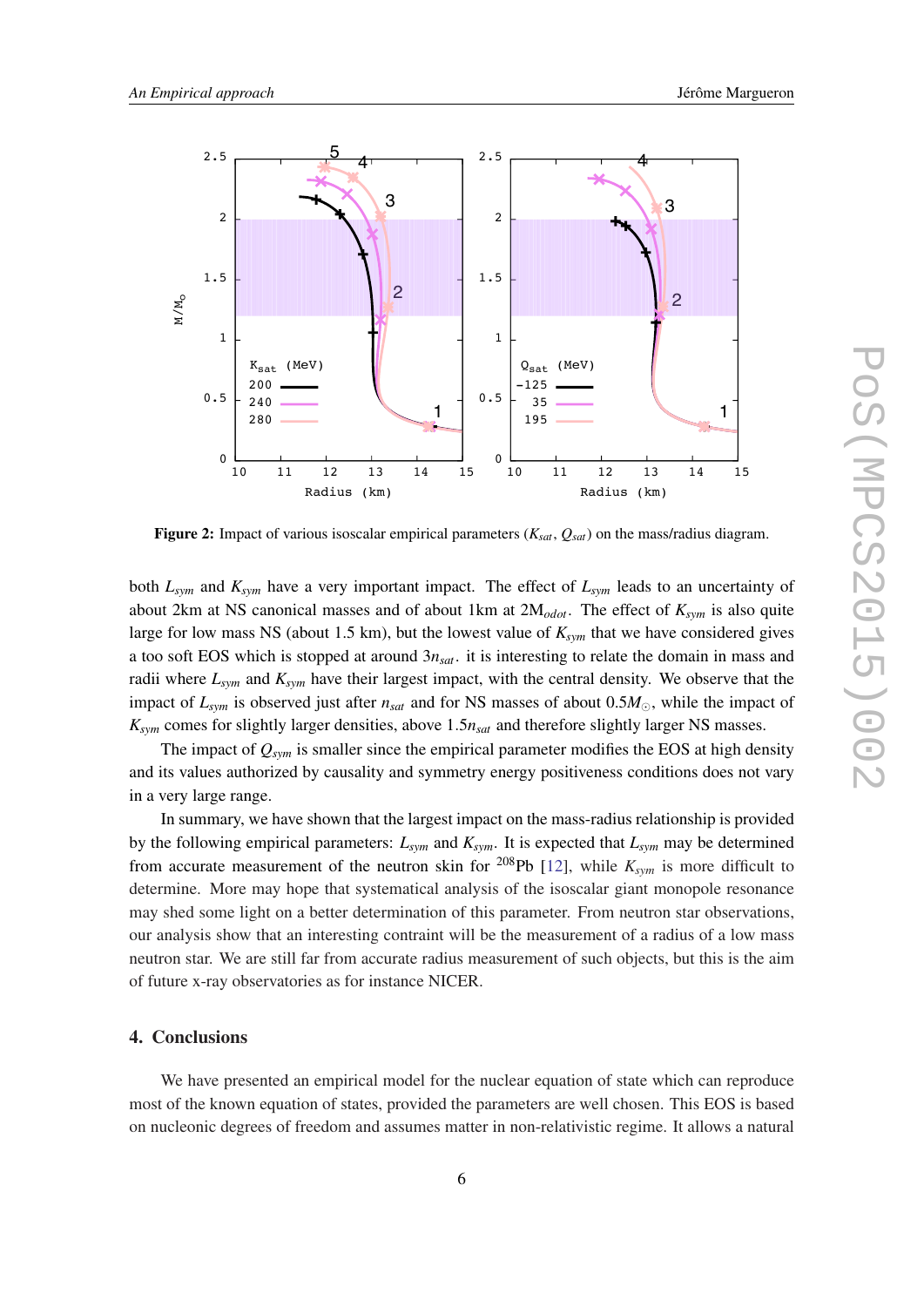<span id="page-5-0"></span>

Figure 2: Impact of various isoscalar empirical parameters  $(K_{sat}, Q_{sat})$  on the mass/radius diagram.

both  $L_{sym}$  and  $K_{sym}$  have a very important impact. The effect of  $L_{sym}$  leads to an uncertainty of about 2km at NS canonical masses and of about 1km at  $2M_{odot}$ . The effect of  $K_{sym}$  is also quite large for low mass NS (about 1.5 km), but the lowest value of  $K_{sym}$  that we have considered gives a too soft EOS which is stopped at around  $3n_{sat}$ . it is interesting to relate the domain in mass and radii where  $L_{sym}$  and  $K_{sym}$  have their largest impact, with the central density. We observe that the impact of  $L_{sym}$  is observed just after  $n_{sat}$  and for NS masses of about 0.5 $M_{\odot}$ , while the impact of  $K_{sym}$  comes for slightly larger densities, above 1.5 $n_{sat}$  and therefore slightly larger NS masses.

The impact of  $Q_{sym}$  is smaller since the empirical parameter modifies the EOS at high density and its values authorized by causality and symmetry energy positiveness conditions does not vary in a very large range.

In summary, we have shown that the largest impact on the mass-radius relationship is provided by the following empirical parameters:  $L_{sym}$  and  $K_{sym}$ . It is expected that  $L_{sym}$  may be determined from accurate measurement of the neutron skin for <sup>208</sup>Pb [12], while  $K_{sym}$  is more difficult to determine. More may hope that systematical analysis of the isoscalar giant monopole resonance may shed some light on a better determination of this parameter. From neutron star observations, our analysis show that an interesting contraint will be the measurement of a radius of a low mass neutron star. We are still far from accurate radius measurement of such objects, but this is the aim of future x-ray observatories as for instance NICER.

#### 4. Conclusions

We have presented an empirical model for the nuclear equation of state which can reproduce most of the known equation of states, provided the parameters are well chosen. This EOS is based on nucleonic degrees of freedom and assumes matter in non-relativistic regime. It allows a natural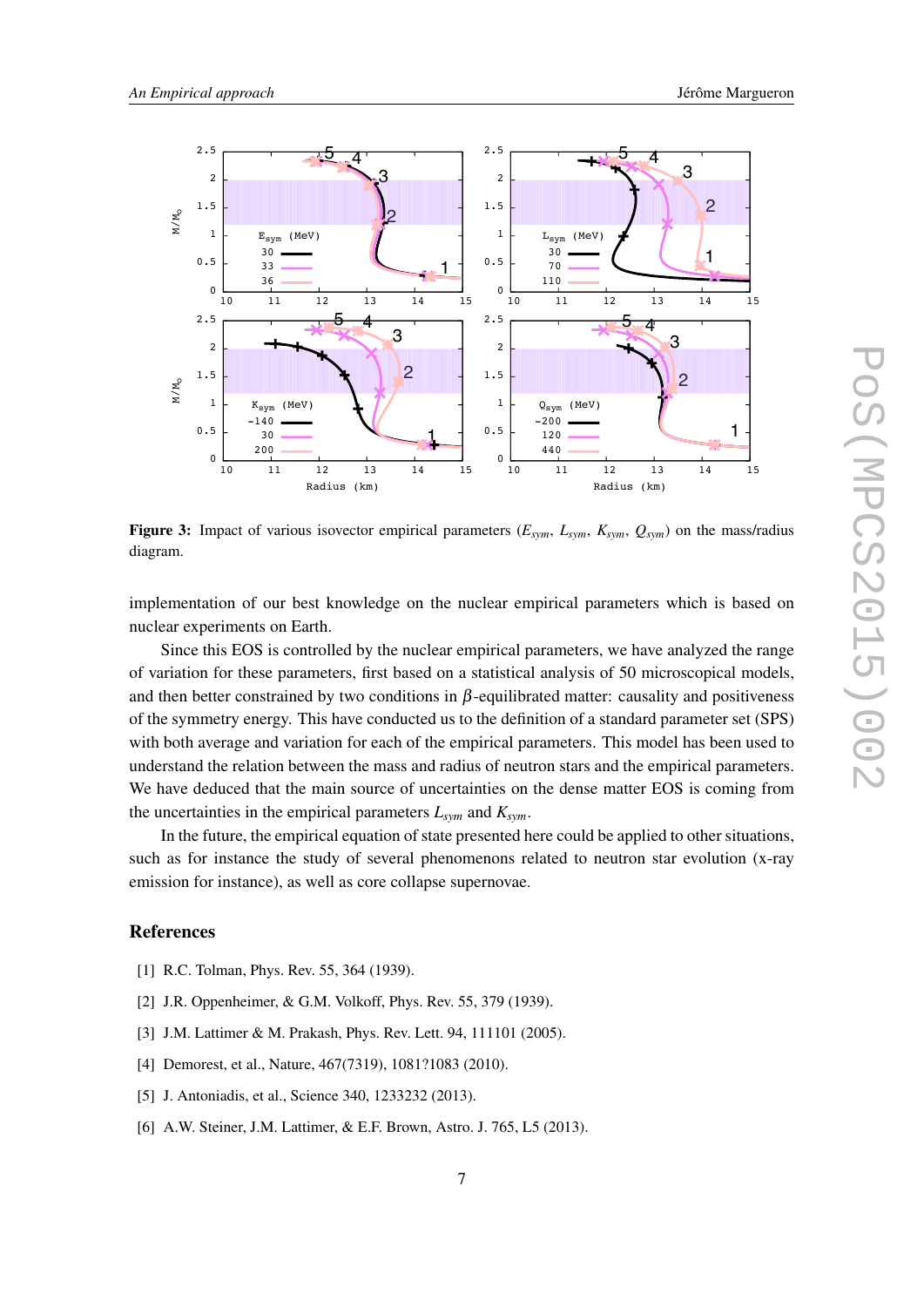<span id="page-6-0"></span>

Figure 3: Impact of various isovector empirical parameters  $(E_{sym}, E_{sym}, K_{sym}, Q_{sym})$  on the mass/radius diagram.

implementation of our best knowledge on the nuclear empirical parameters which is based on nuclear experiments on Earth.

Since this EOS is controlled by the nuclear empirical parameters, we have analyzed the range of variation for these parameters, first based on a statistical analysis of 50 microscopical models, and then better constrained by two conditions in  $\beta$ -equilibrated matter: causality and positiveness of the symmetry energy. This have conducted us to the definition of a standard parameter set (SPS) with both average and variation for each of the empirical parameters. This model has been used to understand the relation between the mass and radius of neutron stars and the empirical parameters. We have deduced that the main source of uncertainties on the dense matter EOS is coming from the uncertainties in the empirical parameters  $L_{sym}$  and  $K_{sym}$ .

In the future, the empirical equation of state presented here could be applied to other situations, such as for instance the study of several phenomenons related to neutron star evolution (x-ray emission for instance), as well as core collapse supernovae.

### **References**

- [1] R.C. Tolman, Phys. Rev. 55, 364 (1939).
- [2] J.R. Oppenheimer, & G.M. Volkoff, Phys. Rev. 55, 379 (1939).
- [3] J.M. Lattimer & M. Prakash, Phys. Rev. Lett. 94, 111101 (2005).
- [4] Demorest, et al., Nature, 467(7319), 1081?1083 (2010).
- [5] J. Antoniadis, et al., Science 340, 1233232 (2013).
- [6] A.W. Steiner, J.M. Lattimer, & E.F. Brown, Astro. J. 765, L5 (2013).